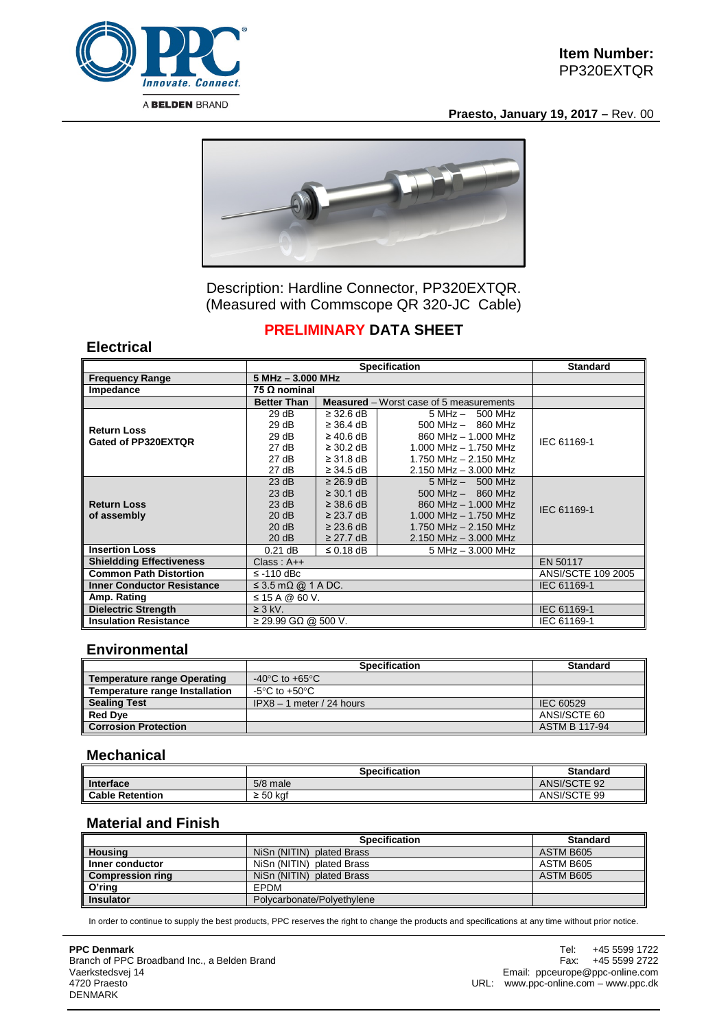

**Praesto, January 19, 2017 –** Rev. 00



Description: Hardline Connector, PP320EXTQR. (Measured with Commscope QR 320-JC Cable)

# **PRELIMINARY DATA SHEET**

#### **Electrical**

|                                   | <b>Specification</b>            |                |                                                | <b>Standard</b>    |
|-----------------------------------|---------------------------------|----------------|------------------------------------------------|--------------------|
| <b>Frequency Range</b>            | $5 MHz - 3.000 MHz$             |                |                                                |                    |
| Impedance                         | 75 Ω nominal                    |                |                                                |                    |
|                                   | <b>Better Than</b>              |                | <b>Measured</b> – Worst case of 5 measurements |                    |
|                                   | 29 dB                           | $\geq$ 32.6 dB | $5 MHz - 500 MHz$                              | IEC 61169-1        |
| <b>Return Loss</b>                | 29 dB                           | $\geq$ 36.4 dB | $500$ MHz $-$ 860 MHz                          |                    |
| Gated of PP320EXTQR               | 29dB                            | $\geq 40.6$ dB | 860 MHz - 1,000 MHz                            |                    |
|                                   | 27 dB                           | $\geq$ 30.2 dB | $1.000$ MHz $- 1.750$ MHz                      |                    |
|                                   | 27 dB                           | $\geq$ 31.8 dB | 1.750 MHz - 2.150 MHz                          |                    |
|                                   | 27 dB                           | $\geq$ 34.5 dB | $2.150$ MHz $- 3.000$ MHz                      |                    |
|                                   | 23 dB                           | $\geq$ 26.9 dB | $5 MHz - 500 MHz$                              |                    |
|                                   | 23 dB                           | $\geq$ 30.1 dB | $500$ MHz $-$ 860 MHz                          |                    |
| <b>Return Loss</b>                | 23 dB                           | $\geq$ 38.6 dB | 860 MHz - 1.000 MHz                            | IEC 61169-1        |
| of assembly                       | 20 dB                           | $\geq$ 23.7 dB | 1.000 MHz $-$ 1.750 MHz                        |                    |
|                                   | 20 dB                           | $\geq$ 23.6 dB | 1.750 MHz - 2.150 MHz                          |                    |
|                                   | 20 dB                           | $\geq$ 27.7 dB | $2.150$ MHz $-$ 3.000 MHz                      |                    |
| <b>Insertion Loss</b>             | $0.21$ dB                       | $\leq$ 0.18 dB | 5 MHz - 3.000 MHz                              |                    |
| <b>Shieldding Effectiveness</b>   | $Class: A++$                    |                |                                                | EN 50117           |
| <b>Common Path Distortion</b>     | $\le$ -110 dBc                  |                |                                                | ANSI/SCTE 109 2005 |
| <b>Inner Conductor Resistance</b> | $\leq$ 3.5 m $\Omega$ @ 1 A DC. |                |                                                | IEC 61169-1        |
| Amp. Rating                       | ≤ 15 A @ 60 V.                  |                |                                                |                    |
| <b>Dielectric Strength</b>        | $\geq$ 3 kV.                    |                |                                                | IEC 61169-1        |
| <b>Insulation Resistance</b>      | $≥$ 29.99 GΩ @ 500 V.           |                |                                                | IEC 61169-1        |

#### **Environmental**

|                                    | <b>Specification</b>                 | <b>Standard</b>      |
|------------------------------------|--------------------------------------|----------------------|
| <b>Temperature range Operating</b> | -40 $^{\circ}$ C to +65 $^{\circ}$ C |                      |
| Temperature range Installation     | -5°C to +50°C                        |                      |
| <b>Sealing Test</b>                | $IPX8 - 1$ meter / 24 hours          | IEC 60529            |
| <b>Red Dye</b>                     |                                      | ANSI/SCTE 60         |
| <b>Corrosion Protection</b>        |                                      | <b>ASTM B 117-94</b> |

#### **Mechanical**

|                        | <b>Specification</b> | <b>Standard</b> |
|------------------------|----------------------|-----------------|
| Interface              | $5/8$ male           | ANSI/SCTE 92    |
| <b>Cable Retention</b> | : 50 kaf<br>-        | ANSI/SCTE 99    |

### **Material and Finish**

|                         | <b>Specification</b>       | <b>Standard</b> |
|-------------------------|----------------------------|-----------------|
| <b>Housing</b>          | NiSn (NITIN) plated Brass  | ASTM B605       |
| Inner conductor         | NiSn (NITIN) plated Brass  | ASTM B605       |
| <b>Compression ring</b> | NiSn (NITIN) plated Brass  | ASTM B605       |
| O'ring                  | <b>FPDM</b>                |                 |
| <b>Insulator</b>        | Polycarbonate/Polyethylene |                 |

In order to continue to supply the best products, PPC reserves the right to change the products and specifications at any time without prior notice.

#### **PPC Denmark** Branch of PPC Broadband Inc., a Belden Brand Vaerkstedsvej 14 4720 Praesto DENMARK